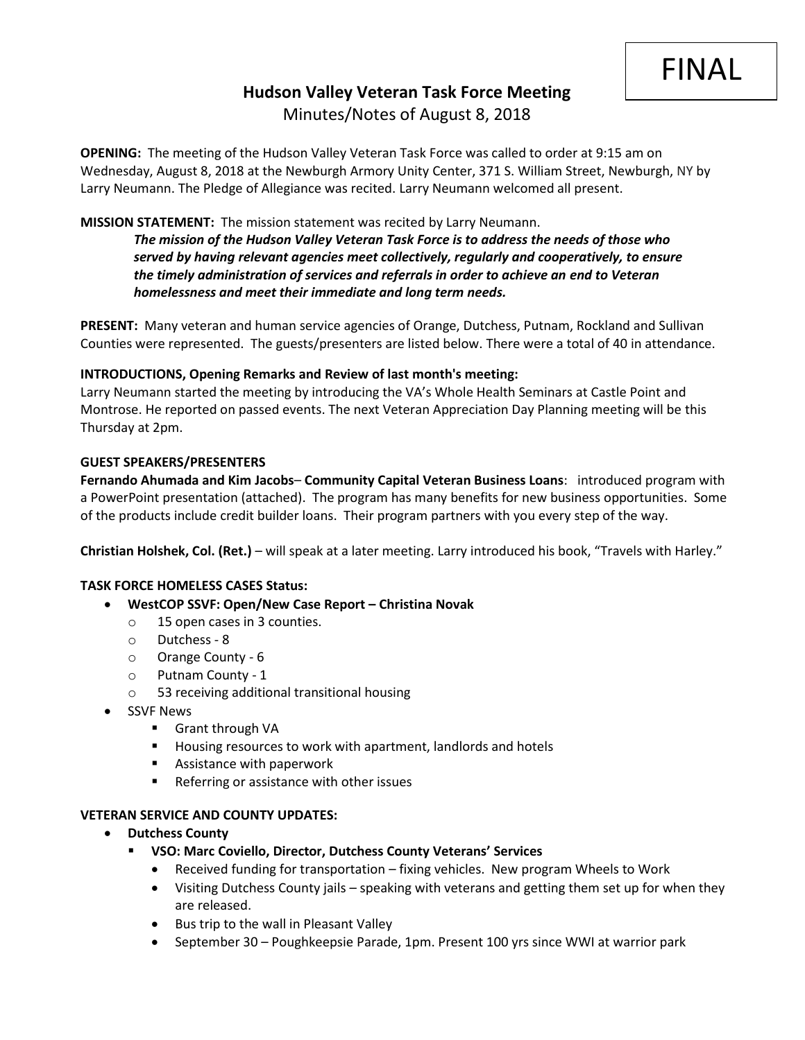# **Hudson Valley Veteran Task Force Meeting**  Minutes/Notes of August 8, 2018

**OPENING:** The meeting of the Hudson Valley Veteran Task Force was called to order at 9:15 am on Wednesday, August 8, 2018 at the Newburgh Armory Unity Center, 371 S. William Street, Newburgh, NY by Larry Neumann. The Pledge of Allegiance was recited. Larry Neumann welcomed all present.

# **MISSION STATEMENT:** The mission statement was recited by Larry Neumann.

*The mission of the Hudson Valley Veteran Task Force is to address the needs of those who served by having relevant agencies meet collectively, regularly and cooperatively, to ensure the timely administration of services and referrals in order to achieve an end to Veteran homelessness and meet their immediate and long term needs.* 

**PRESENT:** Many veteran and human service agencies of Orange, Dutchess, Putnam, Rockland and Sullivan Counties were represented. The guests/presenters are listed below. There were a total of 40 in attendance.

## **INTRODUCTIONS, Opening Remarks and Review of last month's meeting:**

Larry Neumann started the meeting by introducing the VA's Whole Health Seminars at Castle Point and Montrose. He reported on passed events. The next Veteran Appreciation Day Planning meeting will be this Thursday at 2pm.

### **GUEST SPEAKERS/PRESENTERS**

**Fernando Ahumada and Kim Jacobs**– **Community Capital Veteran Business Loans**: introduced program with a PowerPoint presentation (attached). The program has many benefits for new business opportunities. Some of the products include credit builder loans. Their program partners with you every step of the way.

**Christian Holshek, Col. (Ret.)** – will speak at a later meeting. Larry introduced his book, "Travels with Harley."

## **TASK FORCE HOMELESS CASES Status:**

- **WestCOP SSVF: Open/New Case Report – Christina Novak**
	- o 15 open cases in 3 counties.
	- o Dutchess 8
	- o Orange County 6
	- o Putnam County 1
	- 53 receiving additional transitional housing
- SSVF News
	- Grant through VA
	- Housing resources to work with apartment, landlords and hotels
	- Assistance with paperwork
	- Referring or assistance with other issues

#### **VETERAN SERVICE AND COUNTY UPDATES:**

- **Dutchess County**
	- **VSO: Marc Coviello, Director, Dutchess County Veterans' Services**
		- Received funding for transportation fixing vehicles. New program Wheels to Work
		- Visiting Dutchess County jails speaking with veterans and getting them set up for when they are released.
		- Bus trip to the wall in Pleasant Valley
		- September 30 Poughkeepsie Parade, 1pm. Present 100 yrs since WWI at warrior park